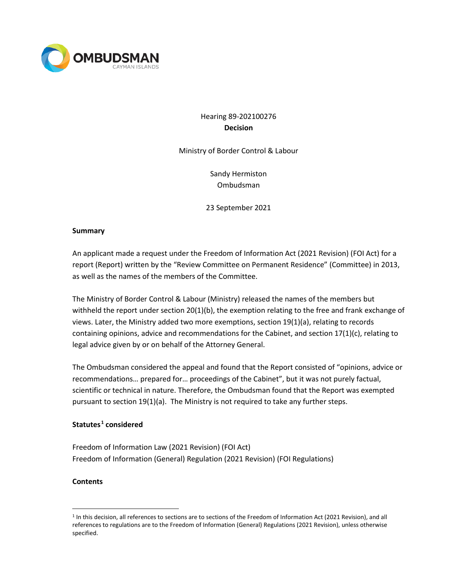

# Hearing 89-202100276 **Decision**

Ministry of Border Control & Labour

Sandy Hermiston Ombudsman

23 September 2021

### **Summary**

An applicant made a request under the Freedom of Information Act (2021 Revision) (FOI Act) for a report (Report) written by the "Review Committee on Permanent Residence" (Committee) in 2013, as well as the names of the members of the Committee.

The Ministry of Border Control & Labour (Ministry) released the names of the members but withheld the report under section  $20(1)(b)$ , the exemption relating to the free and frank exchange of views. Later, the Ministry added two more exemptions, section 19(1)(a), relating to records containing opinions, advice and recommendations for the Cabinet, and section 17(1)(c), relating to legal advice given by or on behalf of the Attorney General.

The Ombudsman considered the appeal and found that the Report consisted of "opinions, advice or recommendations… prepared for… proceedings of the Cabinet", but it was not purely factual, scientific or technical in nature. Therefore, the Ombudsman found that the Report was exempted pursuant to section 19(1)(a). The Ministry is not required to take any further steps.

### **Statutes [1](#page-0-0) considered**

Freedom of Information Law (2021 Revision) (FOI Act) Freedom of Information (General) Regulation (2021 Revision) (FOI Regulations)

### **Contents**

<span id="page-0-0"></span><sup>1</sup> In this decision, all references to sections are to sections of the Freedom of Information Act (2021 Revision), and all references to regulations are to the Freedom of Information (General) Regulations (2021 Revision), unless otherwise specified.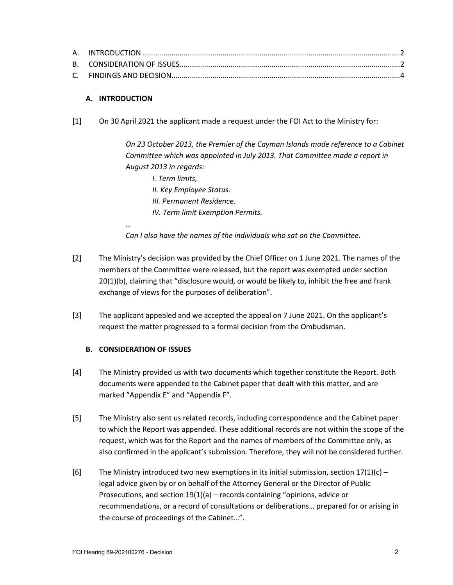## **A. INTRODUCTION**

*…*

[1] On 30 April 2021 the applicant made a request under the FOI Act to the Ministry for:

*On 23 October 2013, the Premier of the Cayman Islands made reference to a Cabinet Committee which was appointed in July 2013. That Committee made a report in August 2013 in regards:*

- *I. Term limits,*
- *II. Key Employee Status.*
- *III. Permanent Residence.*
- *IV. Term limit Exemption Permits.*

*Can I also have the names of the individuals who sat on the Committee.*

- [2] The Ministry's decision was provided by the Chief Officer on 1 June 2021. The names of the members of the Committee were released, but the report was exempted under section 20(1)(b), claiming that "disclosure would, or would be likely to, inhibit the free and frank exchange of views for the purposes of deliberation".
- [3] The applicant appealed and we accepted the appeal on 7 June 2021. On the applicant's request the matter progressed to a formal decision from the Ombudsman.

### **B. CONSIDERATION OF ISSUES**

- [4] The Ministry provided us with two documents which together constitute the Report. Both documents were appended to the Cabinet paper that dealt with this matter, and are marked "Appendix E" and "Appendix F".
- [5] The Ministry also sent us related records, including correspondence and the Cabinet paper to which the Report was appended. These additional records are not within the scope of the request, which was for the Report and the names of members of the Committee only, as also confirmed in the applicant's submission. Therefore, they will not be considered further.
- [6] The Ministry introduced two new exemptions in its initial submission, section  $17(1)(c)$  legal advice given by or on behalf of the Attorney General or the Director of Public Prosecutions, and section 19(1)(a) – records containing "opinions, advice or recommendations, or a record of consultations or deliberations… prepared for or arising in the course of proceedings of the Cabinet…".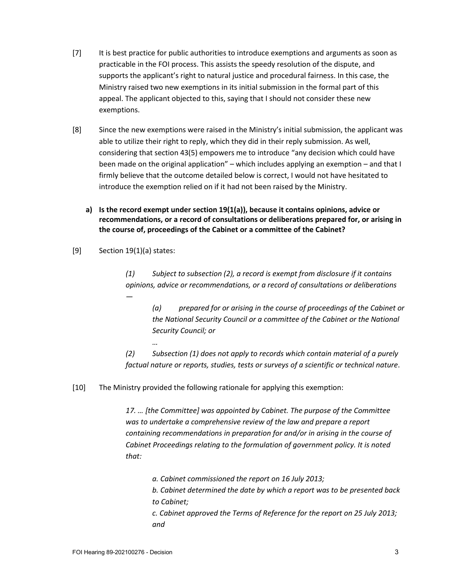- [7] It is best practice for public authorities to introduce exemptions and arguments as soon as practicable in the FOI process. This assists the speedy resolution of the dispute, and supports the applicant's right to natural justice and procedural fairness. In this case, the Ministry raised two new exemptions in its initial submission in the formal part of this appeal. The applicant objected to this, saying that I should not consider these new exemptions.
- [8] Since the new exemptions were raised in the Ministry's initial submission, the applicant was able to utilize their right to reply, which they did in their reply submission. As well, considering that section 43(5) empowers me to introduce "any decision which could have been made on the original application" – which includes applying an exemption – and that I firmly believe that the outcome detailed below is correct, I would not have hesitated to introduce the exemption relied on if it had not been raised by the Ministry.
	- **a) Is the record exempt under section 19(1(a)), because it contains opinions, advice or recommendations, or a record of consultations or deliberations prepared for, or arising in the course of, proceedings of the Cabinet or a committee of the Cabinet?**
- [9] Section 19(1)(a) states:

*…*

*(1) Subject to subsection (2), a record is exempt from disclosure if it contains opinions, advice or recommendations, or a record of consultations or deliberations —*

*(a) prepared for or arising in the course of proceedings of the Cabinet or the National Security Council or a committee of the Cabinet or the National Security Council; or*

*(2) Subsection (1) does not apply to records which contain material of a purely factual nature or reports, studies, tests or surveys of a scientific or technical nature*.

[10] The Ministry provided the following rationale for applying this exemption:

*17. … [the Committee] was appointed by Cabinet. The purpose of the Committee was to undertake a comprehensive review of the law and prepare a report containing recommendations in preparation for and/or in arising in the course of Cabinet Proceedings relating to the formulation of government policy. It is noted that:*

*a. Cabinet commissioned the report on 16 July 2013;*

*b. Cabinet determined the date by which a report was to be presented back to Cabinet;*

*c. Cabinet approved the Terms of Reference for the report on 25 July 2013; and*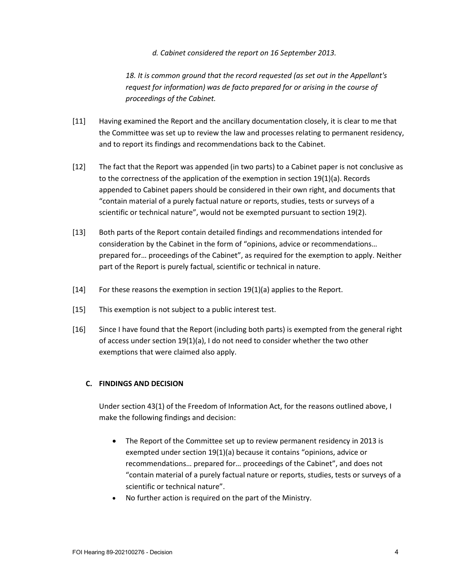### *d. Cabinet considered the report on 16 September 2013.*

*18. It is common ground that the record requested (as set out in the Appellant's request for information) was de facto prepared for or arising in the course of proceedings of the Cabinet.*

- [11] Having examined the Report and the ancillary documentation closely, it is clear to me that the Committee was set up to review the law and processes relating to permanent residency, and to report its findings and recommendations back to the Cabinet.
- [12] The fact that the Report was appended (in two parts) to a Cabinet paper is not conclusive as to the correctness of the application of the exemption in section 19(1)(a). Records appended to Cabinet papers should be considered in their own right, and documents that "contain material of a purely factual nature or reports, studies, tests or surveys of a scientific or technical nature", would not be exempted pursuant to section 19(2).
- [13] Both parts of the Report contain detailed findings and recommendations intended for consideration by the Cabinet in the form of "opinions, advice or recommendations… prepared for… proceedings of the Cabinet", as required for the exemption to apply. Neither part of the Report is purely factual, scientific or technical in nature.
- [14] For these reasons the exemption in section 19(1)(a) applies to the Report.
- [15] This exemption is not subject to a public interest test.
- [16] Since I have found that the Report (including both parts) is exempted from the general right of access under section 19(1)(a), I do not need to consider whether the two other exemptions that were claimed also apply.

# **C. FINDINGS AND DECISION**

Under section 43(1) of the Freedom of Information Act, for the reasons outlined above, I make the following findings and decision:

- The Report of the Committee set up to review permanent residency in 2013 is exempted under section 19(1)(a) because it contains "opinions, advice or recommendations… prepared for… proceedings of the Cabinet", and does not "contain material of a purely factual nature or reports, studies, tests or surveys of a scientific or technical nature".
- No further action is required on the part of the Ministry.